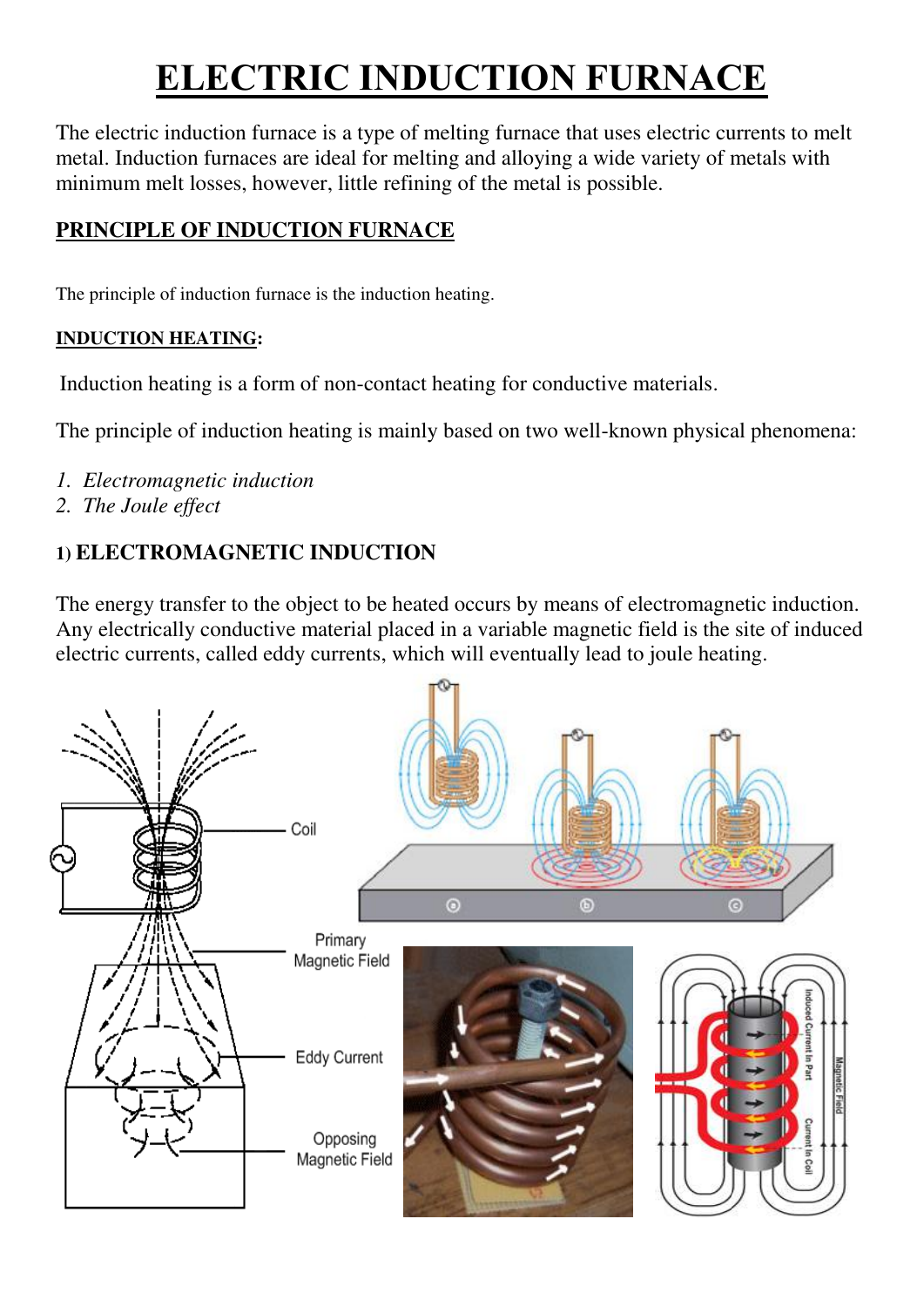# **[ELECTRIC INDUCTION FURNACE](https://dw-inductionheater.com/electric-induction-melting-furnace.html)**

The electric induction furnace is a type of melting furnace that uses electric currents to melt metal. Induction furnaces are ideal for melting and alloying a wide variety of metals with minimum melt losses, however, little refining of the metal is possible.

# **PRINCIPLE OF INDUCTION FURNACE**

The principle of induction furnace is the [induction heating.](https://dw-inductionheater.com/basic-induction-heating.html)

#### **INDUCTION HEATING:**

[Induction heating](https://dw-inductionheater.com/advantages-induction-heating.html) is a form of non-contact heating for conductive materials.

The [principle of induction heating](https://dw-inductionheater.com/induction-heating-principle.html) is mainly based on two well-known physical phenomena:

- *1. Electromagnetic induction*
- *2. The Joule effect*

# **1) ELECTROMAGNETIC INDUCTION**

The energy transfer to the object to be heated occurs by means of electromagnetic induction. Any electrically conductive material placed in a variable magnetic field is the site of induced electric currents, called eddy currents, which will eventually lead to joule heating.

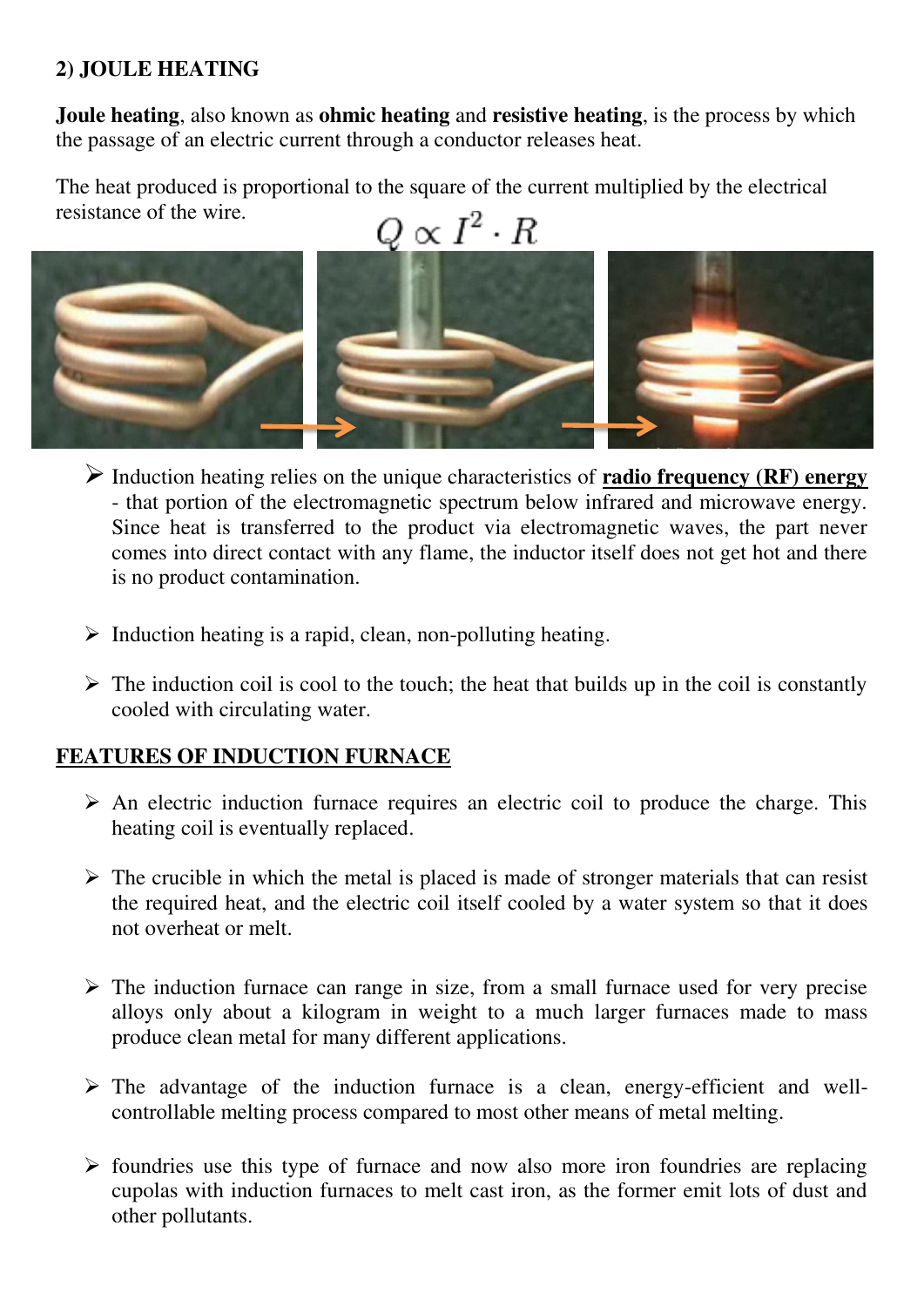### **2) JOULE HEATING**

**Joule heating**, also known as **ohmic heating** and **resistive heating**, is the process by which the passage of an electric current through a conductor releases heat.

The heat produced is proportional to the square of the current multiplied by the electrical resistance of the wire.



- Induction heating relies on the unique characteristics of **radio frequency (RF) energy** - that portion of the electromagnetic spectrum below infrared and microwave energy. Since heat is transferred to the product via electromagnetic waves, the part never comes into direct contact with any flame, the inductor itself does not get hot and there is no product contamination.
- $\triangleright$  Induction heating is a rapid, clean, non-polluting heating.
- $\triangleright$  The induction coil is cool to the touch; the heat that builds up in the coil is constantly cooled with circulating water.

#### **FEATURES OF INDUCTION FURNACE**

- $\triangleright$  An [electric induction furnace](https://dw-inductionheater.com/electric-induction-melting-furnace.html) requires an electric coil to produce the charge. This heating coil is eventually replaced.
- $\triangleright$  The crucible in which the metal is placed is made of stronger materials that can resist the required heat, and the electric coil itself cooled by a water system so that it does not overheat or melt.
- $\triangleright$  The induction furnace can range in size, from a small furnace used for very precise alloys only about a kilogram in weight to a much larger furnaces made to mass produce clean metal for many different applications.
- $\triangleright$  The advantage of the [induction furnace](https://dw-inductionheater.com/induction-heating-principle.html) is a clean, energy-efficient and wellcontrollable melting process compared to most other means of metal melting.
- $\triangleright$  foundries use this type of furnace and now also more iron foundries are replacing cupolas with induction furnaces to melt cast iron, as the former emit lots of dust and other pollutants.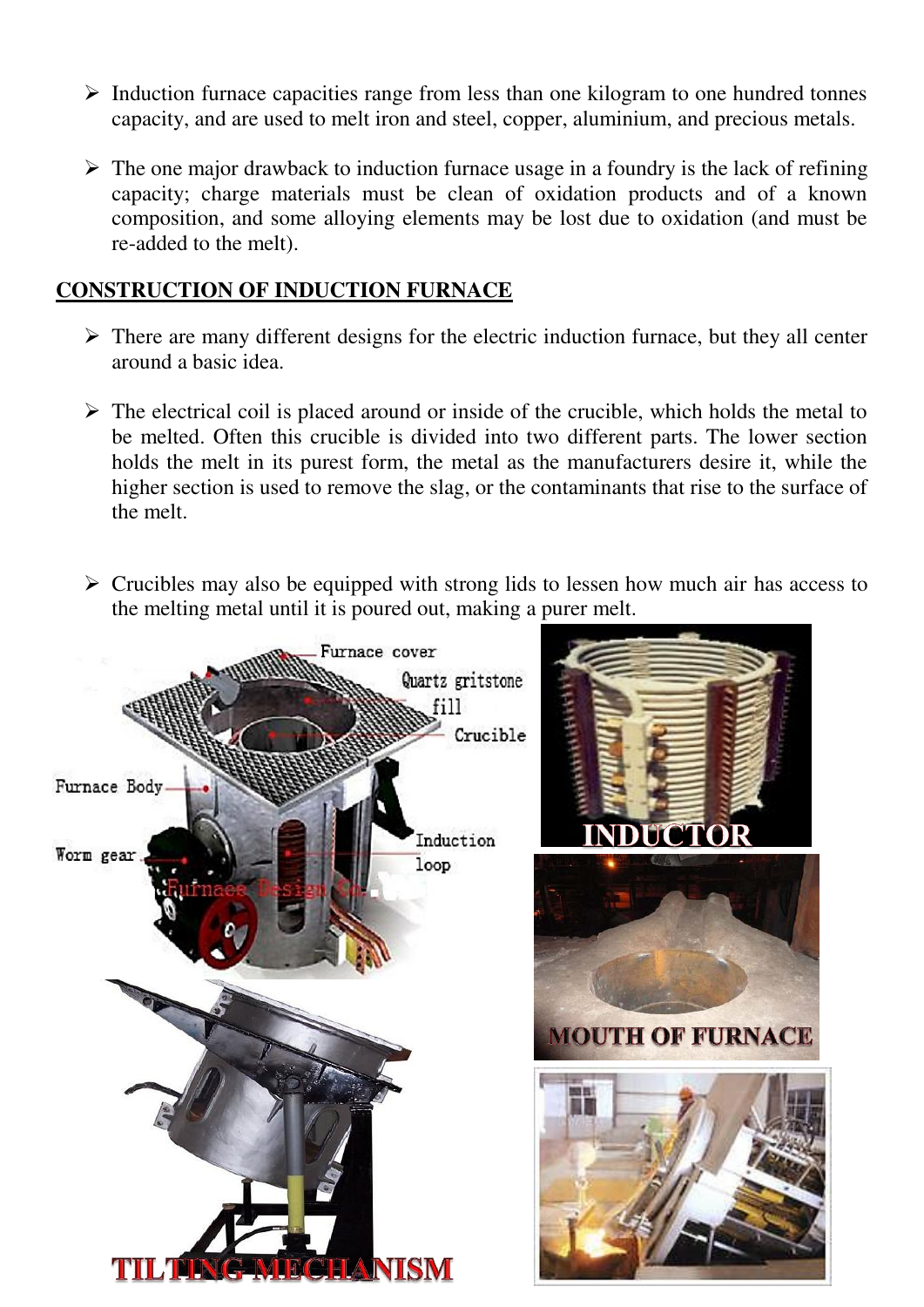- $\triangleright$  Induction furnace capacities range from less than one kilogram to one hundred tonnes capacity, and are used to melt iron and steel, copper, aluminium, and precious metals.
- $\triangleright$  The one major drawback to induction furnace usage in a foundry is the lack of refining capacity; charge materials must be clean of oxidation products and of a known composition, and some alloying elements may be lost due to oxidation (and must be re-added to the melt).

#### **CONSTRUCTION OF INDUCTION FURNACE**

- $\triangleright$  There are many different designs for the electric induction furnace, but they all center around a basic idea.
- $\triangleright$  The electrical coil is placed around or inside of the crucible, which holds the metal to be melted. Often this crucible is divided into two different parts. The lower section holds the melt in its purest form, the metal as the manufacturers desire it, while the higher section is used to remove the slag, or the contaminants that rise to the surface of the melt.
- $\triangleright$  Crucibles may also be equipped with strong lids to lessen how much air has access to the melting metal until it is poured out, making a purer melt.

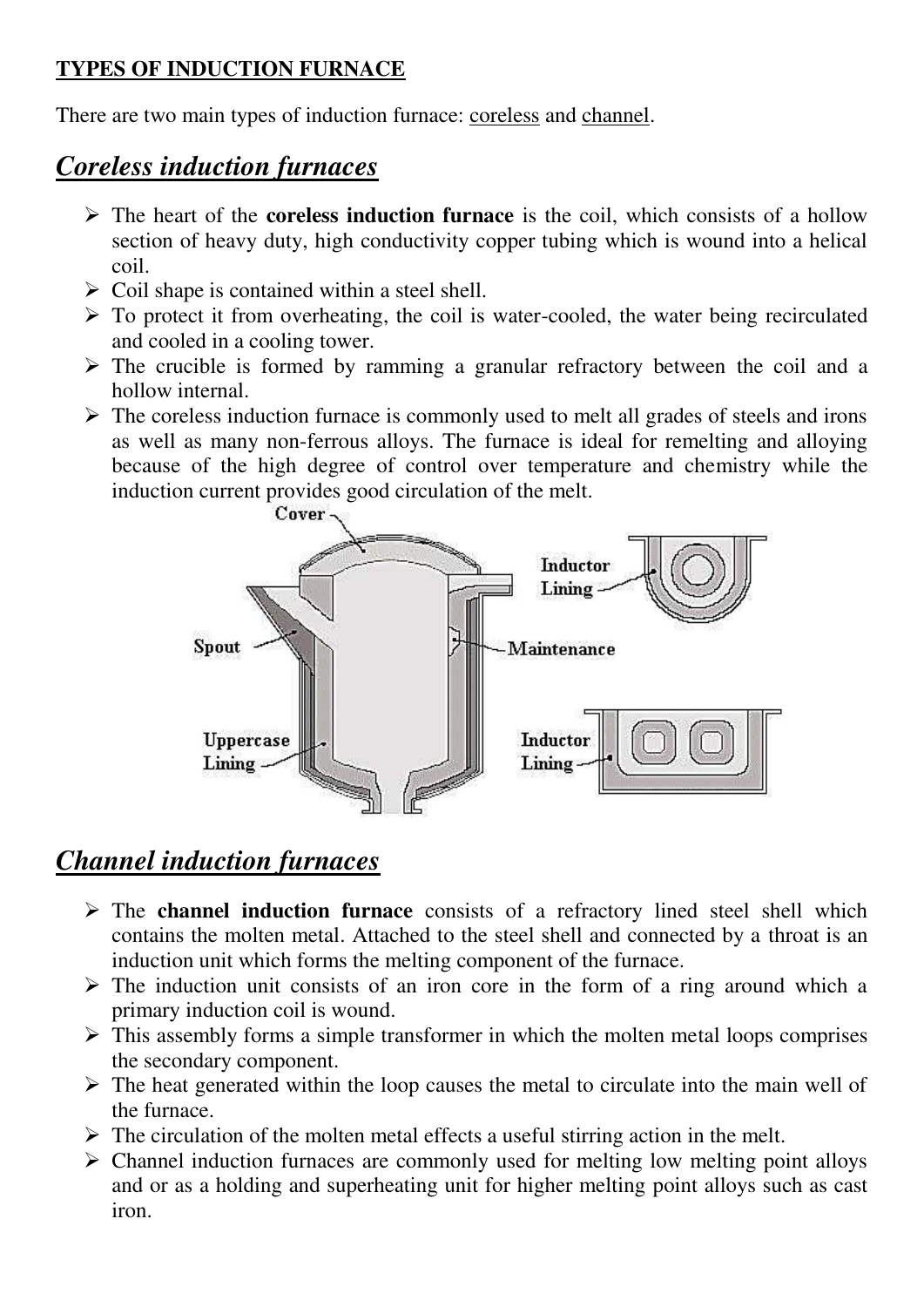## **TYPES OF INDUCTION FURNACE**

There are two main types of induction furnace: coreless and channel.

# *Coreless induction furnaces*

- The heart of the **coreless induction furnace** is the coil, which consists of a hollow section of heavy duty, high conductivity copper tubing which is wound into a helical coil.
- $\triangleright$  Coil shape is contained within a steel shell.
- $\triangleright$  To protect it from overheating, the coil is water-cooled, the water being recirculated and cooled in a cooling tower.
- $\triangleright$  The crucible is formed by ramming a granular refractory between the coil and a hollow internal.
- $\triangleright$  The coreless induction furnace is commonly used to melt all grades of steels and irons as well as many non-ferrous alloys. The furnace is ideal for remelting and alloying because of the high degree of control over temperature and chemistry while the induction current provides good circulation of the melt.



# *Channel induction furnaces*

- The **channel induction furnace** consists of a refractory lined steel shell which contains the molten metal. Attached to the steel shell and connected by a throat is an induction unit which forms the melting component of the furnace.
- $\triangleright$  The induction unit consists of an iron core in the form of a ring around which a primary induction coil is wound.
- $\triangleright$  This assembly forms a simple transformer in which the molten metal loops comprises the secondary component.
- $\triangleright$  The heat generated within the loop causes the metal to circulate into the main well of the furnace.
- $\triangleright$  The circulation of the molten metal effects a useful stirring action in the melt.
- $\triangleright$  Channel induction furnaces are commonly used for melting low melting point alloys and or as a holding and superheating unit for higher melting point alloys such as cast iron.